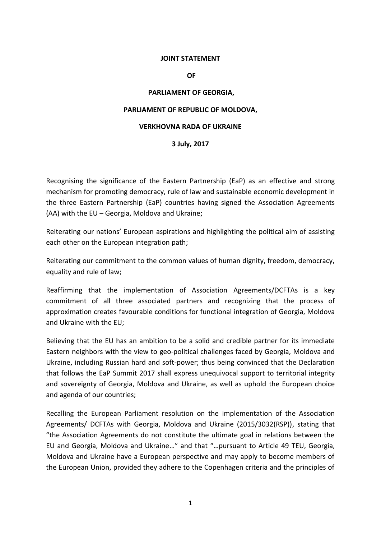# **JOINT STATEMENT**

**OF**

### **PARLIAMENT OF GEORGIA,**

# **PARLIAMENT OF REPUBLIC OF MOLDOVA,**

# **VERKHOVNA RADA OF UKRAINE**

# **3 July, 2017**

Recognising the significance of the Eastern Partnership (EaP) as an effective and strong mechanism for promoting democracy, rule of law and sustainable economic development in the three Eastern Partnership (EaP) countries having signed the Association Agreements (AA) with the EU – Georgia, Moldova and Ukraine;

Reiterating our nations' European aspirations and highlighting the political aim of assisting each other on the European integration path;

Reiterating our commitment to the common values of human dignity, freedom, democracy, equality and rule of law;

Reaffirming that the implementation of Association Agreements/DCFTAs is a key commitment of all three associated partners and recognizing that the process of approximation creates favourable conditions for functional integration of Georgia, Moldova and Ukraine with the EU;

Believing that the EU has an ambition to be a solid and credible partner for its immediate Eastern neighbors with the view to geo-political challenges faced by Georgia, Moldova and Ukraine, including Russian hard and soft-power; thus being convinced that the Declaration that follows the EaP Summit 2017 shall express unequivocal support to territorial integrity and sovereignty of Georgia, Moldova and Ukraine, as well as uphold the European choice and agenda of our countries;

Recalling the European Parliament resolution on the implementation of the Association Agreements/ DCFTAs with Georgia, Moldova and Ukraine (2015/3032(RSP)), stating that "the Association Agreements do not constitute the ultimate goal in relations between the EU and Georgia, Moldova and Ukraine…" and that "…pursuant to Article 49 TEU, Georgia, Moldova and Ukraine have a European perspective and may apply to become members of the European Union, provided they adhere to the Copenhagen criteria and the principles of